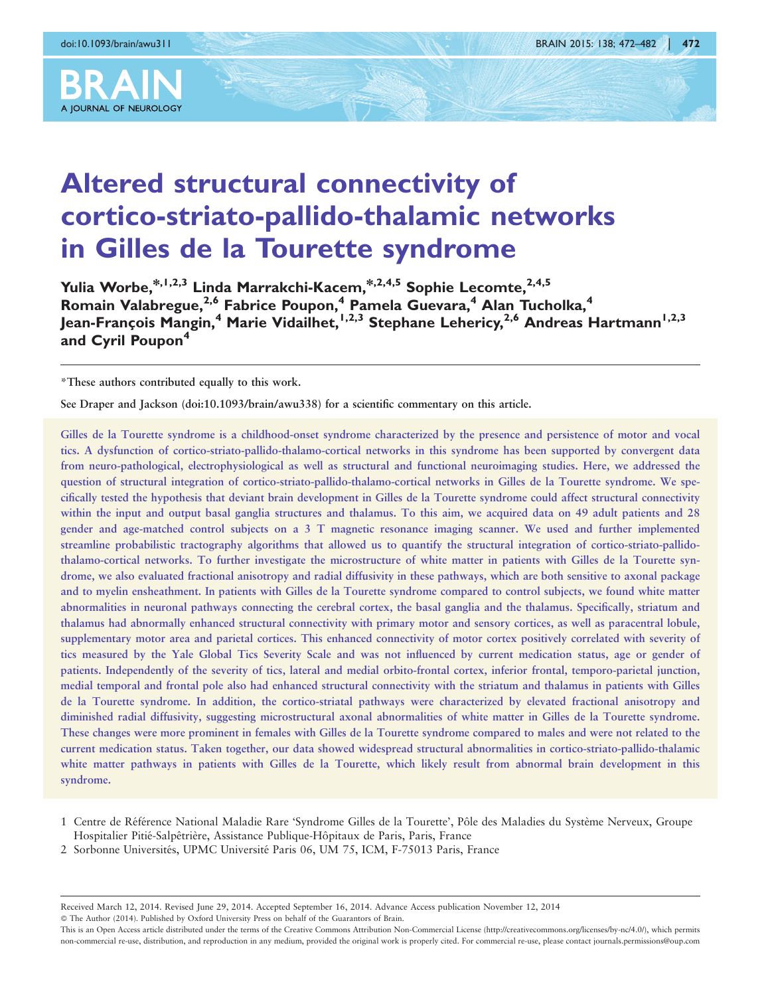

# Altered structural connectivity of cortico-striato-pallido-thalamic networks in Gilles de la Tourette syndrome

Yulia Worbe,\*,1,2,3 Linda Marrakchi-Kacem,\*,2,4,5 Sophie Lecomte,<sup>2,4,5</sup> Romain Valabregue,<sup>2,6</sup> Fabrice Poupon,<sup>4</sup> Pamela Guevara,<sup>4</sup> Alan Tucholka,<sup>4</sup> Jean-François Mangin,<sup>4</sup> Marie Vidailhet,<sup>1,2,3</sup> Stephane Lehericy,<sup>2,6</sup> Andreas Hartmann<sup>1,2,3</sup> and Cyril Poupon<sup>4</sup>

\*These authors contributed equally to this work.

See Draper and Jackson (doi:10.1093/brain/awu338) for a scientific commentary on this article.

Gilles de la Tourette syndrome is a childhood-onset syndrome characterized by the presence and persistence of motor and vocal tics. A dysfunction of cortico-striato-pallido-thalamo-cortical networks in this syndrome has been supported by convergent data from neuro-pathological, electrophysiological as well as structural and functional neuroimaging studies. Here, we addressed the question of structural integration of cortico-striato-pallido-thalamo-cortical networks in Gilles de la Tourette syndrome. We specifically tested the hypothesis that deviant brain development in Gilles de la Tourette syndrome could affect structural connectivity within the input and output basal ganglia structures and thalamus. To this aim, we acquired data on 49 adult patients and 28 gender and age-matched control subjects on a 3 T magnetic resonance imaging scanner. We used and further implemented streamline probabilistic tractography algorithms that allowed us to quantify the structural integration of cortico-striato-pallidothalamo-cortical networks. To further investigate the microstructure of white matter in patients with Gilles de la Tourette syndrome, we also evaluated fractional anisotropy and radial diffusivity in these pathways, which are both sensitive to axonal package and to myelin ensheathment. In patients with Gilles de la Tourette syndrome compared to control subjects, we found white matter abnormalities in neuronal pathways connecting the cerebral cortex, the basal ganglia and the thalamus. Specifically, striatum and thalamus had abnormally enhanced structural connectivity with primary motor and sensory cortices, as well as paracentral lobule, supplementary motor area and parietal cortices. This enhanced connectivity of motor cortex positively correlated with severity of tics measured by the Yale Global Tics Severity Scale and was not influenced by current medication status, age or gender of patients. Independently of the severity of tics, lateral and medial orbito-frontal cortex, inferior frontal, temporo-parietal junction, medial temporal and frontal pole also had enhanced structural connectivity with the striatum and thalamus in patients with Gilles de la Tourette syndrome. In addition, the cortico-striatal pathways were characterized by elevated fractional anisotropy and diminished radial diffusivity, suggesting microstructural axonal abnormalities of white matter in Gilles de la Tourette syndrome. These changes were more prominent in females with Gilles de la Tourette syndrome compared to males and were not related to the current medication status. Taken together, our data showed widespread structural abnormalities in cortico-striato-pallido-thalamic white matter pathways in patients with Gilles de la Tourette, which likely result from abnormal brain development in this syndrome.

1 Centre de Référence National Maladie Rare 'Syndrome Gilles de la Tourette', Pôle des Maladies du Système Nerveux, Groupe Hospitalier Pitié-Salpêtrière, Assistance Publique-Hôpitaux de Paris, Paris, France

2 Sorbonne Universités, UPMC Université Paris 06, UM 75, ICM, F-75013 Paris, France

Received March 12, 2014. Revised June 29, 2014. Accepted September 16, 2014. Advance Access publication November 12, 2014 - The Author (2014). Published by Oxford University Press on behalf of the Guarantors of Brain.

This is an Open Access article distributed under the terms of the Creative Commons Attribution Non-Commercial License [\(http://creativecommons.org/licenses/by-nc/4.0/\)](http://creativecommons.org/licenses/by-nc/4.0/), which permits non-commercial re-use, distribution, and reproduction in any medium, provided the original work is properly cited. For commercial re-use, please contact journals.permissions@oup.com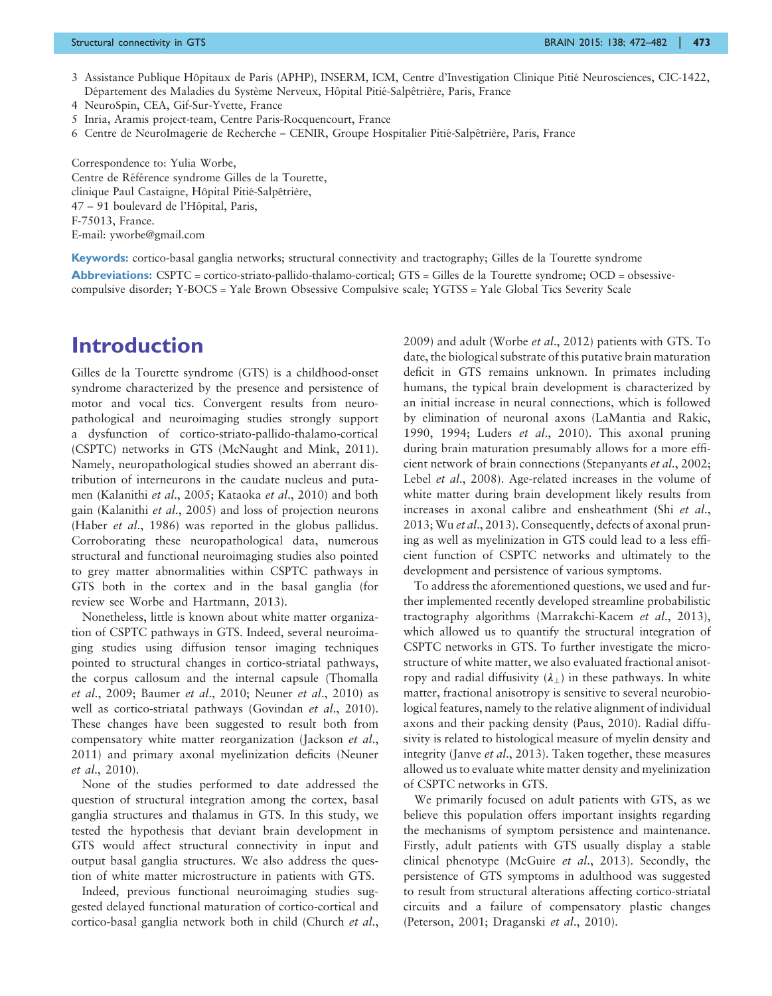3 Assistance Publique Hôpitaux de Paris (APHP), INSERM, ICM, Centre d'Investigation Clinique Pitié Neurosciences, CIC-1422, Département des Maladies du Système Nerveux, Hôpital Pitié-Salpêtrière, Paris, France

4 NeuroSpin, CEA, Gif-Sur-Yvette, France

5 Inria, Aramis project-team, Centre Paris-Rocquencourt, France

6 Centre de NeuroImagerie de Recherche – CENIR, Groupe Hospitalier Pitié-Salpêtrière, Paris, France

Correspondence to: Yulia Worbe, Centre de Référence syndrome Gilles de la Tourette, clinique Paul Castaigne, Hôpital Pitié-Salpêtrière, 47 – 91 boulevard de l'Hôpital, Paris, F-75013, France. E-mail: yworbe@gmail.com

Keywords: cortico-basal ganglia networks; structural connectivity and tractography; Gilles de la Tourette syndrome

Abbreviations: CSPTC = cortico-striato-pallido-thalamo-cortical; GTS = Gilles de la Tourette syndrome; OCD = obsessivecompulsive disorder; Y-BOCS = Yale Brown Obsessive Compulsive scale; YGTSS = Yale Global Tics Severity Scale

# Introduction

Gilles de la Tourette syndrome (GTS) is a childhood-onset syndrome characterized by the presence and persistence of motor and vocal tics. Convergent results from neuropathological and neuroimaging studies strongly support a dysfunction of cortico-striato-pallido-thalamo-cortical (CSPTC) networks in GTS [\(McNaught and Mink, 2011\)](#page-10-0). Namely, neuropathological studies showed an aberrant distribution of interneurons in the caudate nucleus and putamen [\(Kalanithi](#page-9-0) et al., 2005; [Kataoka](#page-9-0) et al., 2010) and both gain [\(Kalanithi](#page-9-0) et al., 2005) and loss of projection neurons (Haber et al[., 1986](#page-9-0)) was reported in the globus pallidus. Corroborating these neuropathological data, numerous structural and functional neuroimaging studies also pointed to grey matter abnormalities within CSPTC pathways in GTS both in the cortex and in the basal ganglia (for review see [Worbe and Hartmann, 2013\)](#page-10-0).

Nonetheless, little is known about white matter organization of CSPTC pathways in GTS. Indeed, several neuroimaging studies using diffusion tensor imaging techniques pointed to structural changes in cortico-striatal pathways, the corpus callosum and the internal capsule ([Thomalla](#page-10-0) et al[., 2009](#page-10-0); [Baumer](#page-9-0) et al., 2010; [Neuner](#page-10-0) et al., 2010) as well as cortico-striatal pathways ([Govindan](#page-9-0) et al., 2010). These changes have been suggested to result both from compensatory white matter reorganization ([Jackson](#page-9-0) et al., [2011\)](#page-9-0) and primary axonal myelinization deficits [\(Neuner](#page-10-0) et al[., 2010\)](#page-10-0).

None of the studies performed to date addressed the question of structural integration among the cortex, basal ganglia structures and thalamus in GTS. In this study, we tested the hypothesis that deviant brain development in GTS would affect structural connectivity in input and output basal ganglia structures. We also address the question of white matter microstructure in patients with GTS.

Indeed, previous functional neuroimaging studies suggested delayed functional maturation of cortico-cortical and cortico-basal ganglia network both in child [\(Church](#page-9-0) et al., [2009](#page-9-0)) and adult (Worbe et al[., 2012](#page-10-0)) patients with GTS. To date, the biological substrate of this putative brain maturation deficit in GTS remains unknown. In primates including humans, the typical brain development is characterized by an initial increase in neural connections, which is followed by elimination of neuronal axons ([LaMantia and Rakic,](#page-9-0) [1990](#page-9-0), [1994;](#page-9-0) Luders et al[., 2010](#page-9-0)). This axonal pruning during brain maturation presumably allows for a more efficient network of brain connections ([Stepanyants](#page-10-0) et al., 2002; Lebel et al[., 2008\)](#page-9-0). Age-related increases in the volume of white matter during brain development likely results from increases in axonal calibre and ensheathment (Shi [et al](#page-10-0)., [2013](#page-10-0); Wu et al[., 2013](#page-10-0)). Consequently, defects of axonal pruning as well as myelinization in GTS could lead to a less efficient function of CSPTC networks and ultimately to the development and persistence of various symptoms.

To address the aforementioned questions, we used and further implemented recently developed streamline probabilistic tractography algorithms [\(Marrakchi-Kacem](#page-10-0) et al., 2013), which allowed us to quantify the structural integration of CSPTC networks in GTS. To further investigate the microstructure of white matter, we also evaluated fractional anisotropy and radial diffusivity  $(\lambda_+)$  in these pathways. In white matter, fractional anisotropy is sensitive to several neurobiological features, namely to the relative alignment of individual axons and their packing density [\(Paus, 2010\)](#page-10-0). Radial diffusivity is related to histological measure of myelin density and integrity (Janve et al[., 2013](#page-9-0)). Taken together, these measures allowed us to evaluate white matter density and myelinization of CSPTC networks in GTS.

We primarily focused on adult patients with GTS, as we believe this population offers important insights regarding the mechanisms of symptom persistence and maintenance. Firstly, adult patients with GTS usually display a stable clinical phenotype ([McGuire](#page-10-0) et al., 2013). Secondly, the persistence of GTS symptoms in adulthood was suggested to result from structural alterations affecting cortico-striatal circuits and a failure of compensatory plastic changes ([Peterson, 2001](#page-10-0); [Draganski](#page-9-0) et al., 2010).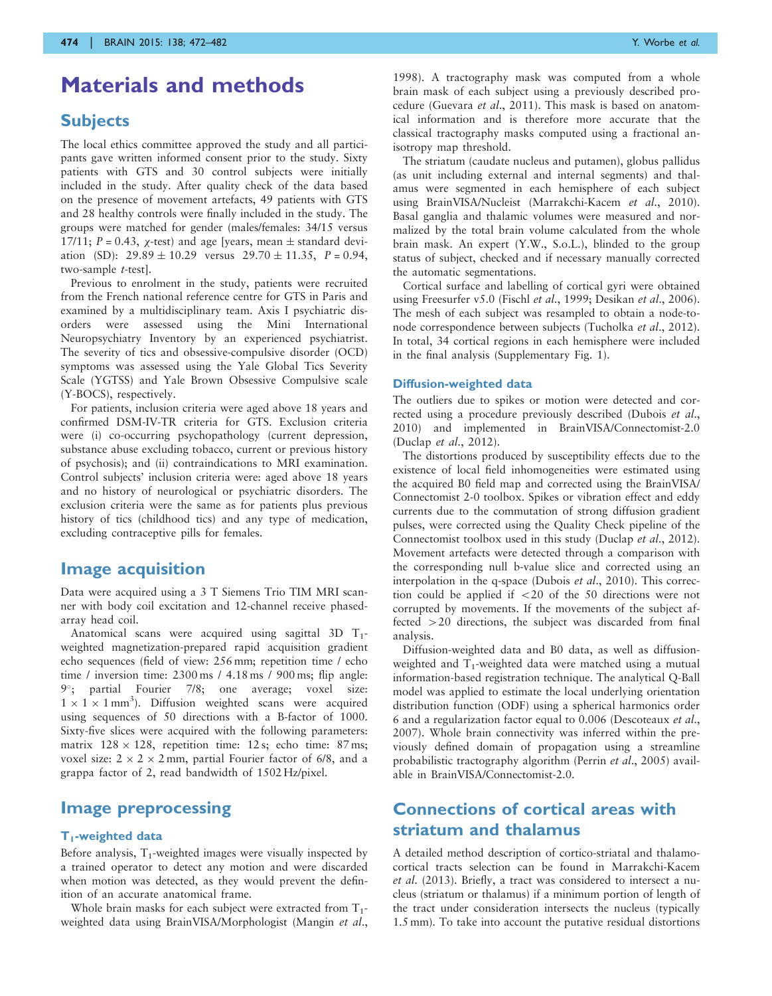### Materials and methods

#### **Subjects**

The local ethics committee approved the study and all participants gave written informed consent prior to the study. Sixty patients with GTS and 30 control subjects were initially included in the study. After quality check of the data based on the presence of movement artefacts, 49 patients with GTS and 28 healthy controls were finally included in the study. The groups were matched for gender (males/females: 34/15 versus 17/11;  $P = 0.43$ ,  $\chi$ -test) and age [years, mean  $\pm$  standard deviation (SD):  $29.89 \pm 10.29$  versus  $29.70 \pm 11.35$ ,  $P = 0.94$ , two-sample t-test].

Previous to enrolment in the study, patients were recruited from the French national reference centre for GTS in Paris and examined by a multidisciplinary team. Axis I psychiatric disorders were assessed using the Mini International Neuropsychiatry Inventory by an experienced psychiatrist. The severity of tics and obsessive-compulsive disorder (OCD) symptoms was assessed using the Yale Global Tics Severity Scale (YGTSS) and Yale Brown Obsessive Compulsive scale (Y-BOCS), respectively.

For patients, inclusion criteria were aged above 18 years and confirmed DSM-IV-TR criteria for GTS. Exclusion criteria were (i) co-occurring psychopathology (current depression, substance abuse excluding tobacco, current or previous history of psychosis); and (ii) contraindications to MRI examination. Control subjects' inclusion criteria were: aged above 18 years and no history of neurological or psychiatric disorders. The exclusion criteria were the same as for patients plus previous history of tics (childhood tics) and any type of medication, excluding contraceptive pills for females.

#### Image acquisition

Data were acquired using a 3 T Siemens Trio TIM MRI scanner with body coil excitation and 12-channel receive phasedarray head coil.

Anatomical scans were acquired using sagittal  $3D$  T<sub>1</sub>weighted magnetization-prepared rapid acquisition gradient echo sequences (field of view: 256 mm; repetition time / echo time / inversion time: 2300 ms / 4.18 ms / 900 ms; flip angle: 9; partial Fourier 7/8; one average; voxel size:  $1 \times 1 \times 1$  mm<sup>3</sup>). Diffusion weighted scans were acquired using sequences of 50 directions with a B-factor of 1000. Sixty-five slices were acquired with the following parameters: matrix  $128 \times 128$ , repetition time: 12 s; echo time: 87 ms; voxel size:  $2 \times 2 \times 2$  mm, partial Fourier factor of 6/8, and a grappa factor of 2, read bandwidth of 1502 Hz/pixel.

#### Image preprocessing

#### T1-weighted data

Before analysis,  $T_1$ -weighted images were visually inspected by a trained operator to detect any motion and were discarded when motion was detected, as they would prevent the definition of an accurate anatomical frame.

Whole brain masks for each subject were extracted from  $T_1$ weighted data using BrainVISA/Morphologist [\(Mangin](#page-10-0) et al.,

[1998\)](#page-10-0). A tractography mask was computed from a whole brain mask of each subject using a previously described procedure [\(Guevara](#page-9-0) et al., 2011). This mask is based on anatomical information and is therefore more accurate that the classical tractography masks computed using a fractional anisotropy map threshold.

The striatum (caudate nucleus and putamen), globus pallidus (as unit including external and internal segments) and thalamus were segmented in each hemisphere of each subject using BrainVISA/Nucleist ([Marrakchi-Kacem](#page-10-0) et al., 2010). Basal ganglia and thalamic volumes were measured and normalized by the total brain volume calculated from the whole brain mask. An expert (Y.W., S.o.L.), blinded to the group status of subject, checked and if necessary manually corrected the automatic segmentations.

Cortical surface and labelling of cortical gyri were obtained using Freesurfer v5.0 (Fischl et al[., 1999; Desikan](#page-9-0) et al., 2006). The mesh of each subject was resampled to obtain a node-tonode correspondence between subjects ([Tucholka](#page-10-0) et al., 2012). In total, 34 cortical regions in each hemisphere were included in the final analysis [\(Supplementary Fig. 1](http://brain.oxfordjournals.org/lookup/suppl/doi:10.1093/brain/awu311/-/DC1)).

#### Diffusion-weighted data

The outliers due to spikes or motion were detected and cor-rected using a procedure previously described ([Dubois](#page-9-0) et al., [2010\)](#page-9-0) and implemented in BrainVISA/Connectomist-2.0 (Duclap et al[., 2012\)](#page-9-0).

The distortions produced by susceptibility effects due to the existence of local field inhomogeneities were estimated using the acquired B0 field map and corrected using the BrainVISA/ Connectomist 2-0 toolbox. Spikes or vibration effect and eddy currents due to the commutation of strong diffusion gradient pulses, were corrected using the Quality Check pipeline of the Connectomist toolbox used in this study (Duclap et al[., 2012\)](#page-9-0). Movement artefacts were detected through a comparison with the corresponding null b-value slice and corrected using an interpolation in the q-space (Dubois *et al.*, 2010). This correction could be applied if  $\langle 20 \rangle$  of the 50 directions were not corrupted by movements. If the movements of the subject affected  $>20$  directions, the subject was discarded from final analysis.

Diffusion-weighted data and B0 data, as well as diffusionweighted and  $T_1$ -weighted data were matched using a mutual information-based registration technique. The analytical Q-Ball model was applied to estimate the local underlying orientation distribution function (ODF) using a spherical harmonics order 6 and a regularization factor equal to 0.006 ([Descoteaux](#page-9-0) et al., [2007\)](#page-9-0). Whole brain connectivity was inferred within the previously defined domain of propagation using a streamline probabilistic tractography algorithm (Perrin et al[., 2005\)](#page-10-0) available in BrainVISA/Connectomist-2.0.

### Connections of cortical areas with striatum and thalamus

A detailed method description of cortico-striatal and thalamocortical tracts selection can be found in [Marrakchi-Kacem](#page-10-0) et al[. \(2013\).](#page-10-0) Briefly, a tract was considered to intersect a nucleus (striatum or thalamus) if a minimum portion of length of the tract under consideration intersects the nucleus (typically 1.5 mm). To take into account the putative residual distortions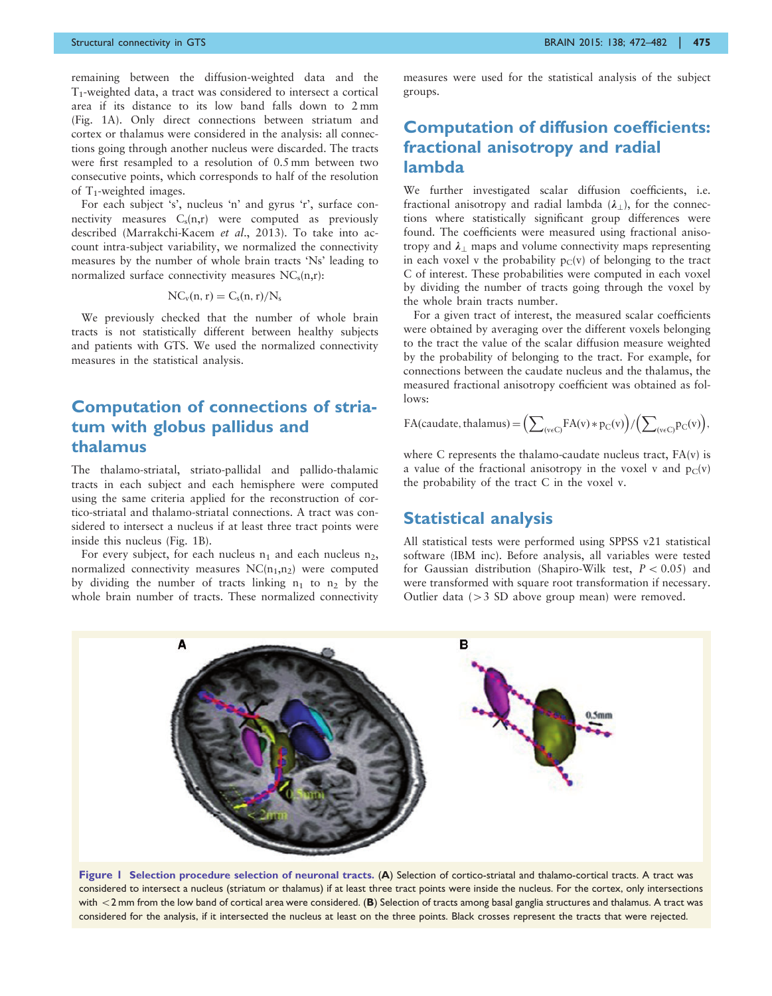remaining between the diffusion-weighted data and the T1-weighted data, a tract was considered to intersect a cortical area if its distance to its low band falls down to 2 mm (Fig. 1A). Only direct connections between striatum and cortex or thalamus were considered in the analysis: all connections going through another nucleus were discarded. The tracts were first resampled to a resolution of 0.5 mm between two consecutive points, which corresponds to half of the resolution of  $T_1$ -weighted images.

For each subject 's', nucleus 'n' and gyrus 'r', surface connectivity measures  $C_s(n,r)$  were computed as previously described [\(Marrakchi-Kacem](#page-10-0) et al., 2013). To take into account intra-subject variability, we normalized the connectivity measures by the number of whole brain tracts 'Ns' leading to normalized surface connectivity measures  $NC_s(n,r)$ :

$$
NC_v(n,r)=C_s(n,r)/N_s\,
$$

We previously checked that the number of whole brain tracts is not statistically different between healthy subjects and patients with GTS. We used the normalized connectivity measures in the statistical analysis.

### Computation of connections of striatum with globus pallidus and thalamus

The thalamo-striatal, striato-pallidal and pallido-thalamic tracts in each subject and each hemisphere were computed using the same criteria applied for the reconstruction of cortico-striatal and thalamo-striatal connections. A tract was considered to intersect a nucleus if at least three tract points were inside this nucleus (Fig. 1B).

For every subject, for each nucleus  $n_1$  and each nucleus  $n_2$ , normalized connectivity measures  $NC(n_1,n_2)$  were computed by dividing the number of tracts linking  $n_1$  to  $n_2$  by the whole brain number of tracts. These normalized connectivity

measures were used for the statistical analysis of the subject groups.

#### Computation of diffusion coefficients: fractional anisotropy and radial lambda

We further investigated scalar diffusion coefficients, i.e. fractional anisotropy and radial lambda  $(\lambda_{\perp})$ , for the connections where statistically significant group differences were found. The coefficients were measured using fractional anisotropy and  $\lambda_{\perp}$  maps and volume connectivity maps representing in each voxel v the probability  $p_C(v)$  of belonging to the tract C of interest. These probabilities were computed in each voxel by dividing the number of tracts going through the voxel by the whole brain tracts number.

For a given tract of interest, the measured scalar coefficients were obtained by averaging over the different voxels belonging to the tract the value of the scalar diffusion measure weighted by the probability of belonging to the tract. For example, for connections between the caudate nucleus and the thalamus, the measured fractional anisotropy coefficient was obtained as follows:

FA(caudate, thalamus) = 
$$
\left(\sum_{(v \in C)} FA(v) * p_C(v)\right) / \left(\sum_{(v \in C)} p_C(v)\right),
$$

where C represents the thalamo-caudate nucleus tract, FA(v) is a value of the fractional anisotropy in the voxel v and  $p_C(v)$ the probability of the tract C in the voxel v.

#### Statistical analysis

All statistical tests were performed using SPPSS v21 statistical software (IBM inc). Before analysis, all variables were tested for Gaussian distribution (Shapiro-Wilk test,  $P < 0.05$ ) and were transformed with square root transformation if necessary. Outlier data  $(>3$  SD above group mean) were removed.



Figure 1 Selection procedure selection of neuronal tracts. (A) Selection of cortico-striatal and thalamo-cortical tracts. A tract was considered to intersect a nucleus (striatum or thalamus) if at least three tract points were inside the nucleus. For the cortex, only intersections with  $<$  2 mm from the low band of cortical area were considered. (B) Selection of tracts among basal ganglia structures and thalamus. A tract was considered for the analysis, if it intersected the nucleus at least on the three points. Black crosses represent the tracts that were rejected.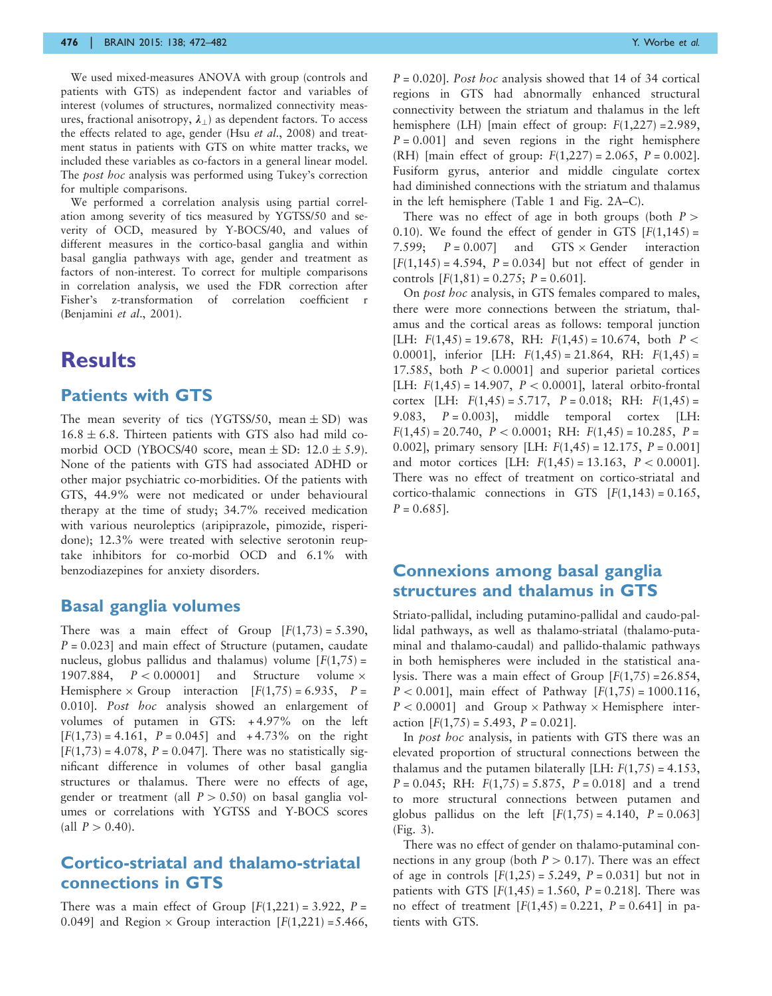We used mixed-measures ANOVA with group (controls and patients with GTS) as independent factor and variables of interest (volumes of structures, normalized connectivity measures, fractional anisotropy,  $\lambda_{\perp}$  as dependent factors. To access the effects related to age, gender (Hsu et al[., 2008](#page-9-0)) and treatment status in patients with GTS on white matter tracks, we included these variables as co-factors in a general linear model. The post hoc analysis was performed using Tukey's correction for multiple comparisons.

We performed a correlation analysis using partial correlation among severity of tics measured by YGTSS/50 and severity of OCD, measured by Y-BOCS/40, and values of different measures in the cortico-basal ganglia and within basal ganglia pathways with age, gender and treatment as factors of non-interest. To correct for multiple comparisons in correlation analysis, we used the FDR correction after Fisher's z-transformation of correlation coefficient r [\(Benjamini](#page-9-0) et al., 2001).

## **Results**

#### Patients with GTS

The mean severity of tics (YGTSS/50, mean  $\pm$  SD) was  $16.8 \pm 6.8$ . Thirteen patients with GTS also had mild comorbid OCD (YBOCS/40 score, mean  $\pm$  SD: 12.0  $\pm$  5.9). None of the patients with GTS had associated ADHD or other major psychiatric co-morbidities. Of the patients with GTS, 44.9% were not medicated or under behavioural therapy at the time of study; 34.7% received medication with various neuroleptics (aripiprazole, pimozide, risperidone); 12.3% were treated with selective serotonin reuptake inhibitors for co-morbid OCD and 6.1% with benzodiazepines for anxiety disorders.

#### Basal ganglia volumes

There was a main effect of Group  $[F(1,73) = 5.390,$  $P = 0.023$ ] and main effect of Structure (putamen, caudate nucleus, globus pallidus and thalamus) volume  $[F(1,75)]$ 1907.884,  $P < 0.00001$  and Structure volume  $\times$ Hemisphere  $\times$  Group interaction  $[F(1,75) = 6.935, P =$ 0.010]. Post hoc analysis showed an enlargement of volumes of putamen in GTS: + 4.97% on the left  $[F(1,73) = 4.161, P = 0.045]$  and  $+4.73\%$  on the right  $[F(1,73) = 4.078, P = 0.047]$ . There was no statistically significant difference in volumes of other basal ganglia structures or thalamus. There were no effects of age, gender or treatment (all  $P > 0.50$ ) on basal ganglia volumes or correlations with YGTSS and Y-BOCS scores (all  $P > 0.40$ ).

#### Cortico-striatal and thalamo-striatal connections in GTS

There was a main effect of Group  $[F(1,221) = 3.922, P =$ 0.049] and Region  $\times$  Group interaction  $[F(1,221) = 5.466,$   $P = 0.020$ . Post hoc analysis showed that 14 of 34 cortical regions in GTS had abnormally enhanced structural connectivity between the striatum and thalamus in the left hemisphere (LH) [main effect of group:  $F(1,227) = 2.989$ ,  $P = 0.001$  and seven regions in the right hemisphere (RH) [main effect of group:  $F(1,227) = 2.065$ ,  $P = 0.002$ ]. Fusiform gyrus, anterior and middle cingulate cortex had diminished connections with the striatum and thalamus in the left hemisphere [\(Table 1](#page-5-0) and [Fig. 2A](#page-5-0)–C).

There was no effect of age in both groups (both  $P >$ 0.10). We found the effect of gender in GTS  $[F(1,145)] =$ 7.599;  $P = 0.007$  and GTS  $\times$  Gender interaction  $[F(1,145) = 4.594, P = 0.034]$  but not effect of gender in controls  $[F(1,81) = 0.275; P = 0.601]$ .

On post hoc analysis, in GTS females compared to males, there were more connections between the striatum, thalamus and the cortical areas as follows: temporal junction [LH:  $F(1,45) = 19.678$ , RH:  $F(1,45) = 10.674$ , both  $P <$ 0.0001], inferior [LH:  $F(1,45) = 21.864$ , RH:  $F(1,45) =$ 17.585, both  $P < 0.0001$ ] and superior parietal cortices [LH:  $F(1,45) = 14.907$ ,  $P < 0.0001$ ], lateral orbito-frontal cortex [LH:  $F(1,45) = 5.717$ ,  $P = 0.018$ ; RH:  $F(1,45) =$ 9.083,  $P = 0.003$ ], middle temporal cortex [LH:  $F(1,45) = 20.740$ ,  $P < 0.0001$ ; RH:  $F(1,45) = 10.285$ ,  $P =$ 0.002], primary sensory [LH:  $F(1,45) = 12.175$ ,  $P = 0.001$ ] and motor cortices [LH:  $F(1,45) = 13.163$ ,  $P < 0.0001$ ]. There was no effect of treatment on cortico-striatal and cortico-thalamic connections in GTS  $[F(1,143) = 0.165]$ ,  $P = 0.685$ .

#### Connexions among basal ganglia structures and thalamus in GTS

Striato-pallidal, including putamino-pallidal and caudo-pallidal pathways, as well as thalamo-striatal (thalamo-putaminal and thalamo-caudal) and pallido-thalamic pathways in both hemispheres were included in the statistical analysis. There was a main effect of Group  $[F(1,75) = 26.854]$ ,  $P < 0.001$ ], main effect of Pathway  $[F(1,75) = 1000.116,$  $P < 0.0001$ ] and Group  $\times$  Pathway  $\times$  Hemisphere interaction  $[F(1,75) = 5.493, P = 0.021]$ .

In *post hoc* analysis, in patients with GTS there was an elevated proportion of structural connections between the thalamus and the putamen bilaterally [LH:  $F(1,75) = 4.153$ ,  $P = 0.045$ ; RH:  $F(1,75) = 5.875$ ,  $P = 0.018$ ] and a trend to more structural connections between putamen and globus pallidus on the left  $[F(1,75) = 4.140, P = 0.063]$ [\(Fig. 3](#page-6-0)).

There was no effect of gender on thalamo-putaminal connections in any group (both  $P > 0.17$ ). There was an effect of age in controls  $[F(1,25) = 5.249, P = 0.031]$  but not in patients with GTS  $[F(1,45) = 1.560, P = 0.218]$ . There was no effect of treatment  $[F(1,45) = 0.221, P = 0.641]$  in patients with GTS.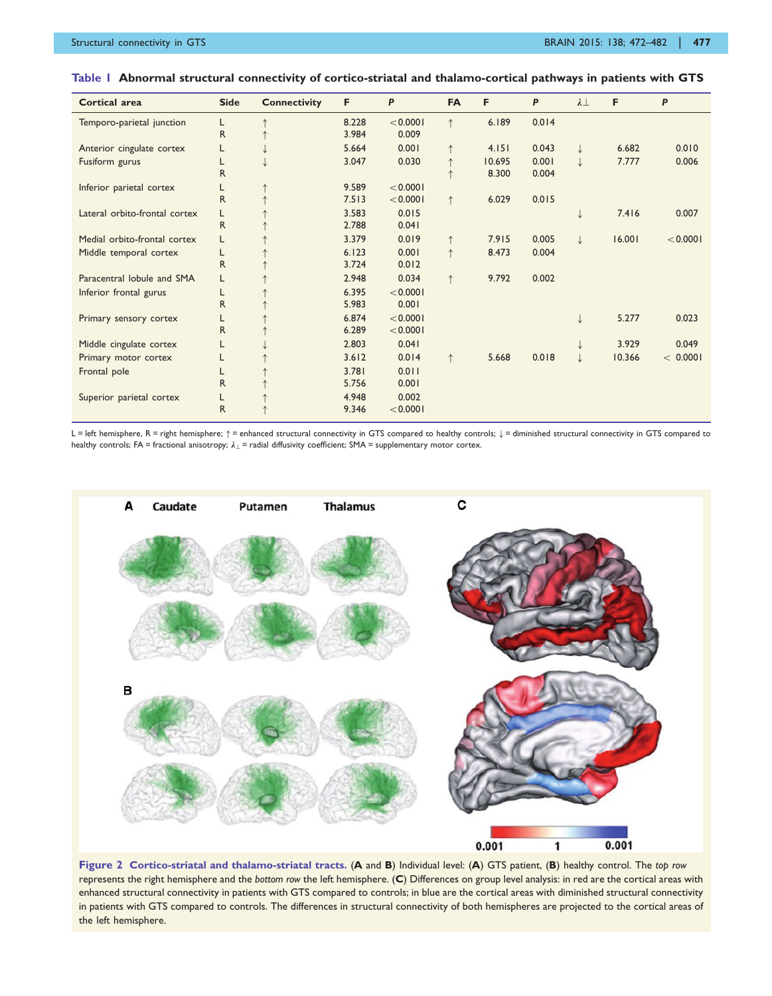#### <span id="page-5-0"></span>Table 1 Abnormal structural connectivity of cortico-striatal and thalamo-cortical pathways in patients with GTS

| <b>Cortical area</b>          | <b>Side</b>  | <b>Connectivity</b> | F     | P        | <b>FA</b>  | F      | P     | $\lambda$    | F      | P        |
|-------------------------------|--------------|---------------------|-------|----------|------------|--------|-------|--------------|--------|----------|
| Temporo-parietal junction     |              | $\uparrow$          | 8.228 | < 0.0001 | $\uparrow$ | 6.189  | 0.014 |              |        |          |
|                               | $\mathsf{R}$ | 1                   | 3.984 | 0.009    |            |        |       |              |        |          |
| Anterior cingulate cortex     |              | ↓                   | 5.664 | 0.001    | $\uparrow$ | 4.151  | 0.043 | $\downarrow$ | 6.682  | 0.010    |
| Fusiform gurus                |              | ↓                   | 3.047 | 0.030    | $\uparrow$ | 10.695 | 0.001 | $\downarrow$ | 7.777  | 0.006    |
|                               | R            |                     |       |          | $\uparrow$ | 8.300  | 0.004 |              |        |          |
| Inferior parietal cortex      |              | $\uparrow$          | 9.589 | < 0.0001 |            |        |       |              |        |          |
|                               | $\mathsf{R}$ | $\uparrow$          | 7.513 | < 0.0001 | $\uparrow$ | 6.029  | 0.015 |              |        |          |
| Lateral orbito-frontal cortex | L            |                     | 3.583 | 0.015    |            |        |       | ↓            | 7.416  | 0.007    |
|                               | R.           | $\uparrow$          | 2.788 | 0.041    |            |        |       |              |        |          |
| Medial orbito-frontal cortex  |              | $\uparrow$          | 3.379 | 0.019    | $\uparrow$ | 7.915  | 0.005 | $\downarrow$ | 16.001 | < 0.0001 |
| Middle temporal cortex        |              | $\uparrow$          | 6.123 | 0.001    | $\uparrow$ | 8.473  | 0.004 |              |        |          |
|                               | R.           | $\uparrow$          | 3.724 | 0.012    |            |        |       |              |        |          |
| Paracentral lobule and SMA    |              | $\uparrow$          | 2.948 | 0.034    | $\uparrow$ | 9.792  | 0.002 |              |        |          |
| Inferior frontal gurus        |              | $\uparrow$          | 6.395 | < 0.0001 |            |        |       |              |        |          |
|                               | R.           | $\uparrow$          | 5.983 | 0.001    |            |        |       |              |        |          |
| Primary sensory cortex        |              | $\uparrow$          | 6.874 | < 0.0001 |            |        |       |              | 5.277  | 0.023    |
|                               | $\mathsf{R}$ | $\uparrow$          | 6.289 | < 0.0001 |            |        |       |              |        |          |
| Middle cingulate cortex       |              |                     | 2.803 | 0.041    |            |        |       |              | 3.929  | 0.049    |
| Primary motor cortex          |              | $\uparrow$          | 3.612 | 0.014    | $\uparrow$ | 5.668  | 0.018 | $\downarrow$ | 10.366 | < 0.0001 |
| Frontal pole                  |              | $\uparrow$          | 3.781 | 0.011    |            |        |       |              |        |          |
|                               | $\mathsf{R}$ | $\uparrow$          | 5.756 | 0.001    |            |        |       |              |        |          |
| Superior parietal cortex      |              | $\uparrow$          | 4.948 | 0.002    |            |        |       |              |        |          |
|                               | $\mathsf{R}$ | $\uparrow$          | 9.346 | < 0.0001 |            |        |       |              |        |          |

L = left hemisphere, R = right hemisphere;  $\uparrow$  = enhanced structural connectivity in GTS compared to healthy controls;  $\downarrow$  = diminished structural connectivity in GTS compared to healthy controls; FA = fractional anisotropy;  $\lambda_{\perp}$  = radial diffusivity coefficient; SMA = supplementary motor cortex.



Figure 2 Cortico-striatal and thalamo-striatal tracts. (A and B) Individual level: (A) GTS patient, (B) healthy control. The top row represents the right hemisphere and the bottom row the left hemisphere. (C) Differences on group level analysis: in red are the cortical areas with enhanced structural connectivity in patients with GTS compared to controls; in blue are the cortical areas with diminished structural connectivity in patients with GTS compared to controls. The differences in structural connectivity of both hemispheres are projected to the cortical areas of the left hemisphere.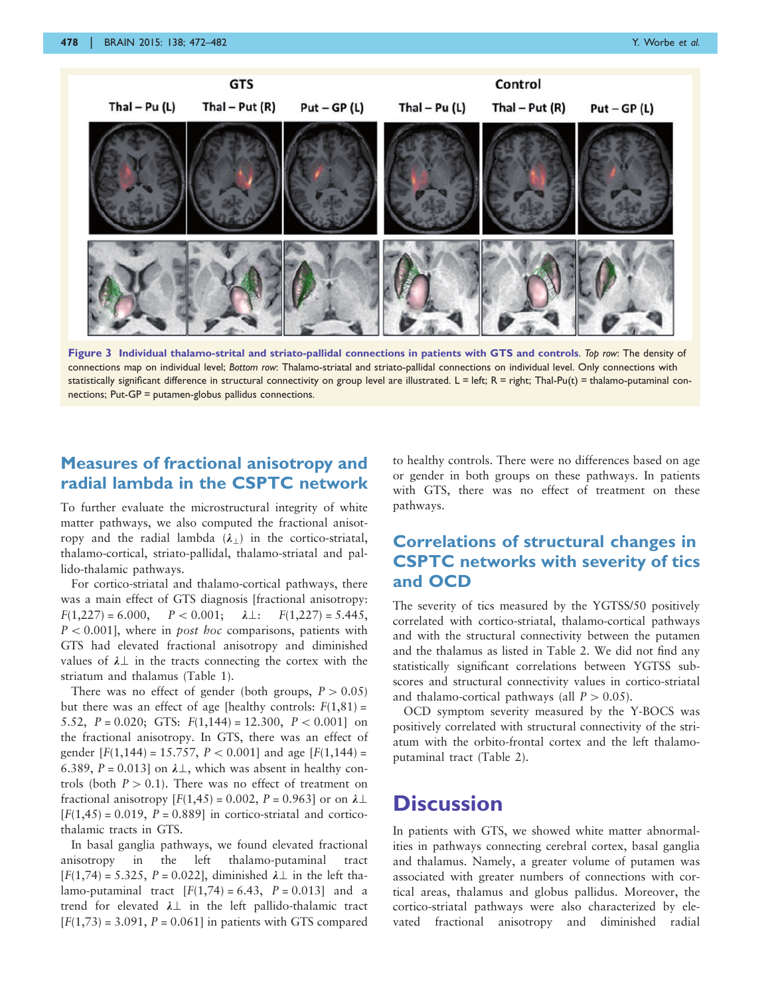<span id="page-6-0"></span>

Figure 3 Individual thalamo-strital and striato-pallidal connections in patients with GTS and controls. Top row: The density of connections map on individual level; Bottom row: Thalamo-striatal and striato-pallidal connections on individual level. Only connections with statistically significant difference in structural connectivity on group level are illustrated. L = left; R = right; Thal-Pu(t) = thalamo-putaminal connections; Put-GP = putamen-globus pallidus connections.

### Measures of fractional anisotropy and radial lambda in the CSPTC network

To further evaluate the microstructural integrity of white matter pathways, we also computed the fractional anisotropy and the radial lambda  $(\lambda_1)$  in the cortico-striatal, thalamo-cortical, striato-pallidal, thalamo-striatal and pallido-thalamic pathways.

For cortico-striatal and thalamo-cortical pathways, there was a main effect of GTS diagnosis [fractional anisotropy:  $F(1,227) = 6.000,$   $P < 0.001;$   $\lambda \perp$ :  $F(1,227) = 5.445,$  $P < 0.001$ ], where in *post hoc* comparisons, patients with GTS had elevated fractional anisotropy and diminished values of  $\lambda \perp$  in the tracts connecting the cortex with the striatum and thalamus [\(Table 1](#page-5-0)).

There was no effect of gender (both groups,  $P > 0.05$ ) but there was an effect of age [healthy controls:  $F(1,81) =$ 5.52,  $P = 0.020$ ; GTS:  $F(1,144) = 12.300$ ,  $P < 0.001$ ] on the fractional anisotropy. In GTS, there was an effect of gender  $[F(1,144) = 15.757, P < 0.001]$  and age  $[F(1,144) =$ 6.389,  $P = 0.013$  on  $\lambda \perp$ , which was absent in healthy controls (both  $P > 0.1$ ). There was no effect of treatment on fractional anisotropy  $[F(1,45) = 0.002, P = 0.963]$  or on  $\lambda \perp$  $[F(1,45) = 0.019, P = 0.889]$  in cortico-striatal and corticothalamic tracts in GTS.

In basal ganglia pathways, we found elevated fractional anisotropy in the left thalamo-putaminal tract  $[F(1,74) = 5.325, P = 0.022]$ , diminished  $\lambda \perp$  in the left thalamo-putaminal tract  $[F(1,74) = 6.43, P = 0.013]$  and a trend for elevated  $\lambda \perp$  in the left pallido-thalamic tract  $[F(1,73) = 3.091, P = 0.061]$  in patients with GTS compared

to healthy controls. There were no differences based on age or gender in both groups on these pathways. In patients with GTS, there was no effect of treatment on these pathways.

#### Correlations of structural changes in CSPTC networks with severity of tics and OCD

The severity of tics measured by the YGTSS/50 positively correlated with cortico-striatal, thalamo-cortical pathways and with the structural connectivity between the putamen and the thalamus as listed in [Table 2.](#page-7-0) We did not find any statistically significant correlations between YGTSS subscores and structural connectivity values in cortico-striatal and thalamo-cortical pathways (all  $P > 0.05$ ).

OCD symptom severity measured by the Y-BOCS was positively correlated with structural connectivity of the striatum with the orbito-frontal cortex and the left thalamoputaminal tract [\(Table 2](#page-7-0)).

# **Discussion**

In patients with GTS, we showed white matter abnormalities in pathways connecting cerebral cortex, basal ganglia and thalamus. Namely, a greater volume of putamen was associated with greater numbers of connections with cortical areas, thalamus and globus pallidus. Moreover, the cortico-striatal pathways were also characterized by elevated fractional anisotropy and diminished radial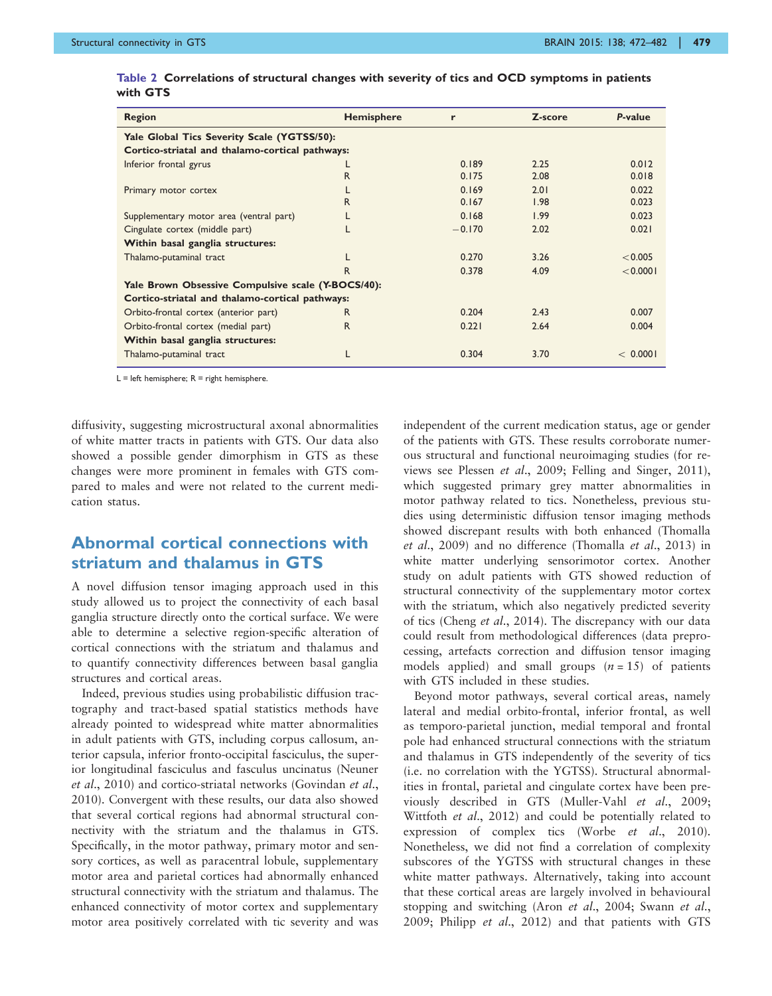| <b>Region</b>                                      | <b>Hemisphere</b> | r        | Z-score | P-value  |  |  |  |  |  |  |
|----------------------------------------------------|-------------------|----------|---------|----------|--|--|--|--|--|--|
| Yale Global Tics Severity Scale (YGTSS/50):        |                   |          |         |          |  |  |  |  |  |  |
| Cortico-striatal and thalamo-cortical pathways:    |                   |          |         |          |  |  |  |  |  |  |
| Inferior frontal gyrus                             |                   | 0.189    | 2.25    | 0.012    |  |  |  |  |  |  |
|                                                    | R.                | 0.175    | 2.08    | 0.018    |  |  |  |  |  |  |
| Primary motor cortex                               |                   | 0.169    | 2.01    | 0.022    |  |  |  |  |  |  |
|                                                    | R.                | 0.167    | 1.98    | 0.023    |  |  |  |  |  |  |
| Supplementary motor area (ventral part)            |                   | 0.168    | 1.99    | 0.023    |  |  |  |  |  |  |
| Cingulate cortex (middle part)                     |                   | $-0.170$ | 2.02    | 0.021    |  |  |  |  |  |  |
| Within basal ganglia structures:                   |                   |          |         |          |  |  |  |  |  |  |
| Thalamo-putaminal tract                            |                   | 0.270    | 3.26    | < 0.005  |  |  |  |  |  |  |
|                                                    | R.                | 0.378    | 4.09    | < 0.0001 |  |  |  |  |  |  |
| Yale Brown Obsessive Compulsive scale (Y-BOCS/40): |                   |          |         |          |  |  |  |  |  |  |
| Cortico-striatal and thalamo-cortical pathways:    |                   |          |         |          |  |  |  |  |  |  |
| Orbito-frontal cortex (anterior part)              | R.                | 0.204    | 2.43    | 0.007    |  |  |  |  |  |  |
| Orbito-frontal cortex (medial part)                | R.                | 0.221    | 2.64    | 0.004    |  |  |  |  |  |  |
| Within basal ganglia structures:                   |                   |          |         |          |  |  |  |  |  |  |
| Thalamo-putaminal tract                            |                   | 0.304    | 3.70    | < 0.0001 |  |  |  |  |  |  |

#### <span id="page-7-0"></span>Table 2 Correlations of structural changes with severity of tics and OCD symptoms in patients with GTS

 $L =$  left hemisphere;  $R =$  right hemisphere.

diffusivity, suggesting microstructural axonal abnormalities of white matter tracts in patients with GTS. Our data also showed a possible gender dimorphism in GTS as these changes were more prominent in females with GTS compared to males and were not related to the current medication status.

### Abnormal cortical connections with striatum and thalamus in GTS

A novel diffusion tensor imaging approach used in this study allowed us to project the connectivity of each basal ganglia structure directly onto the cortical surface. We were able to determine a selective region-specific alteration of cortical connections with the striatum and thalamus and to quantify connectivity differences between basal ganglia structures and cortical areas.

Indeed, previous studies using probabilistic diffusion tractography and tract-based spatial statistics methods have already pointed to widespread white matter abnormalities in adult patients with GTS, including corpus callosum, anterior capsula, inferior fronto-occipital fasciculus, the superior longitudinal fasciculus and fasculus uncinatus [\(Neuner](#page-10-0) et al[., 2010\)](#page-10-0) and cortico-striatal networks [\(Govindan](#page-9-0) et al., [2010\)](#page-9-0). Convergent with these results, our data also showed that several cortical regions had abnormal structural connectivity with the striatum and the thalamus in GTS. Specifically, in the motor pathway, primary motor and sensory cortices, as well as paracentral lobule, supplementary motor area and parietal cortices had abnormally enhanced structural connectivity with the striatum and thalamus. The enhanced connectivity of motor cortex and supplementary motor area positively correlated with tic severity and was

independent of the current medication status, age or gender of the patients with GTS. These results corroborate numerous structural and functional neuroimaging studies (for reviews see Plessen et al[., 2009](#page-10-0); [Felling and Singer, 2011\)](#page-9-0), which suggested primary grey matter abnormalities in motor pathway related to tics. Nonetheless, previous studies using deterministic diffusion tensor imaging methods showed discrepant results with both enhanced [\(Thomalla](#page-10-0) et al[., 2009](#page-10-0)) and no difference [\(Thomalla](#page-10-0) et al., 2013) in white matter underlying sensorimotor cortex. Another study on adult patients with GTS showed reduction of structural connectivity of the supplementary motor cortex with the striatum, which also negatively predicted severity of tics (Cheng et al[., 2014\)](#page-9-0). The discrepancy with our data could result from methodological differences (data preprocessing, artefacts correction and diffusion tensor imaging models applied) and small groups  $(n = 15)$  of patients with GTS included in these studies.

Beyond motor pathways, several cortical areas, namely lateral and medial orbito-frontal, inferior frontal, as well as temporo-parietal junction, medial temporal and frontal pole had enhanced structural connections with the striatum and thalamus in GTS independently of the severity of tics (i.e. no correlation with the YGTSS). Structural abnormalities in frontal, parietal and cingulate cortex have been previously described in GTS ([Muller-Vahl](#page-10-0) et al., 2009; [Wittfoth](#page-10-0) et al., 2012) and could be potentially related to expression of complex tics (Worbe et al[., 2010\)](#page-10-0). Nonetheless, we did not find a correlation of complexity subscores of the YGTSS with structural changes in these white matter pathways. Alternatively, taking into account that these cortical areas are largely involved in behavioural stopping and switching (Aron et al[., 2004](#page-9-0); [Swann](#page-10-0) et al., [2009](#page-10-0); Philipp et al[., 2012\)](#page-10-0) and that patients with GTS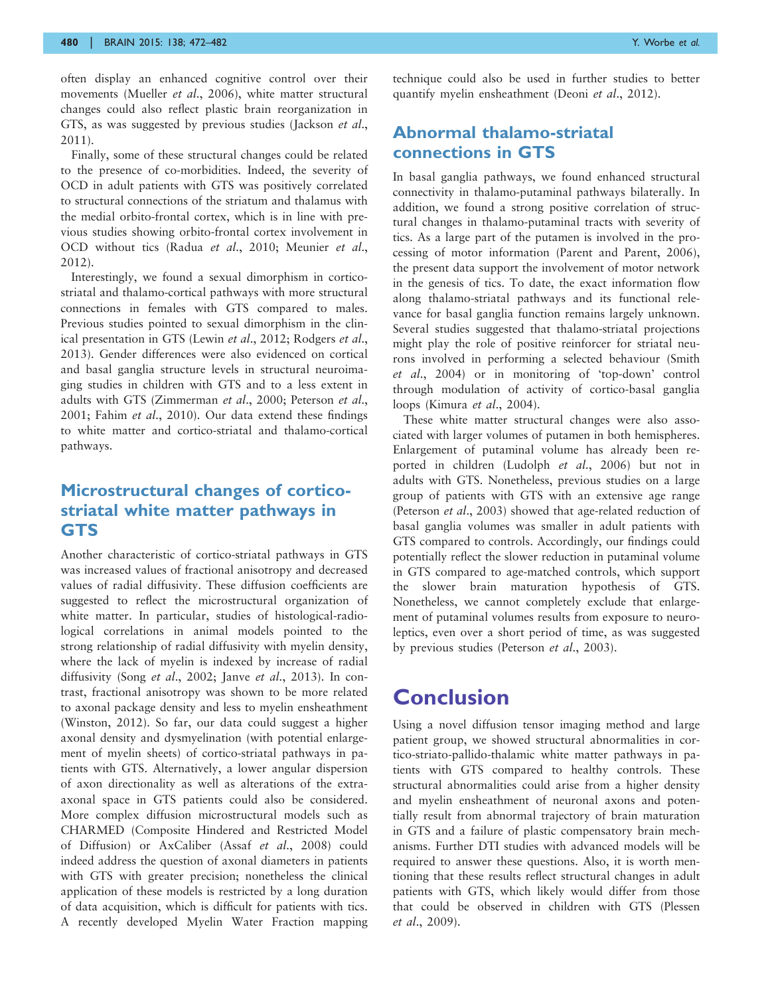often display an enhanced cognitive control over their movements [\(Mueller](#page-10-0) et al., 2006), white matter structural changes could also reflect plastic brain reorganization in GTS, as was suggested by previous studies [\(Jackson](#page-9-0) et al., [2011](#page-9-0)).

Finally, some of these structural changes could be related to the presence of co-morbidities. Indeed, the severity of OCD in adult patients with GTS was positively correlated to structural connections of the striatum and thalamus with the medial orbito-frontal cortex, which is in line with previous studies showing orbito-frontal cortex involvement in OCD without tics (Radua et al[., 2010; Meunier](#page-10-0) et al., [2012](#page-10-0)).

Interestingly, we found a sexual dimorphism in corticostriatal and thalamo-cortical pathways with more structural connections in females with GTS compared to males. Previous studies pointed to sexual dimorphism in the clinical presentation in GTS (Lewin et al[., 2012;](#page-9-0) [Rodgers](#page-10-0) et al., [2013](#page-10-0)). Gender differences were also evidenced on cortical and basal ganglia structure levels in structural neuroimaging studies in children with GTS and to a less extent in adults with GTS ([Zimmerman](#page-10-0) et al., 2000; [Peterson](#page-10-0) et al., [2001](#page-10-0); Fahim et al[., 2010](#page-9-0)). Our data extend these findings to white matter and cortico-striatal and thalamo-cortical pathways.

#### Microstructural changes of corticostriatal white matter pathways in GTS

Another characteristic of cortico-striatal pathways in GTS was increased values of fractional anisotropy and decreased values of radial diffusivity. These diffusion coefficients are suggested to reflect the microstructural organization of white matter. In particular, studies of histological-radiological correlations in animal models pointed to the strong relationship of radial diffusivity with myelin density, where the lack of myelin is indexed by increase of radial diffusivity (Song et al[., 2002](#page-10-0); Janve et al[., 2013\)](#page-9-0). In contrast, fractional anisotropy was shown to be more related to axonal package density and less to myelin ensheathment [\(Winston, 2012\)](#page-10-0). So far, our data could suggest a higher axonal density and dysmyelination (with potential enlargement of myelin sheets) of cortico-striatal pathways in patients with GTS. Alternatively, a lower angular dispersion of axon directionality as well as alterations of the extraaxonal space in GTS patients could also be considered. More complex diffusion microstructural models such as CHARMED (Composite Hindered and Restricted Model of Diffusion) or AxCaliber (Assaf et al[., 2008](#page-9-0)) could indeed address the question of axonal diameters in patients with GTS with greater precision; nonetheless the clinical application of these models is restricted by a long duration of data acquisition, which is difficult for patients with tics. A recently developed Myelin Water Fraction mapping technique could also be used in further studies to better quantify myelin ensheathment (Deoni et al[., 2012](#page-9-0)).

#### Abnormal thalamo-striatal connections in GTS

In basal ganglia pathways, we found enhanced structural connectivity in thalamo-putaminal pathways bilaterally. In addition, we found a strong positive correlation of structural changes in thalamo-putaminal tracts with severity of tics. As a large part of the putamen is involved in the processing of motor information ([Parent and Parent, 2006](#page-10-0)), the present data support the involvement of motor network in the genesis of tics. To date, the exact information flow along thalamo-striatal pathways and its functional relevance for basal ganglia function remains largely unknown. Several studies suggested that thalamo-striatal projections might play the role of positive reinforcer for striatal neurons involved in performing a selected behaviour ([Smith](#page-10-0) et al[., 2004\)](#page-10-0) or in monitoring of 'top-down' control through modulation of activity of cortico-basal ganglia loops ([Kimura](#page-9-0) et al., 2004).

These white matter structural changes were also associated with larger volumes of putamen in both hemispheres. Enlargement of putaminal volume has already been reported in children ([Ludolph](#page-9-0) et al., 2006) but not in adults with GTS. Nonetheless, previous studies on a large group of patients with GTS with an extensive age range [\(Peterson](#page-10-0) et al., 2003) showed that age-related reduction of basal ganglia volumes was smaller in adult patients with GTS compared to controls. Accordingly, our findings could potentially reflect the slower reduction in putaminal volume in GTS compared to age-matched controls, which support the slower brain maturation hypothesis of GTS. Nonetheless, we cannot completely exclude that enlargement of putaminal volumes results from exposure to neuroleptics, even over a short period of time, as was suggested by previous studies [\(Peterson](#page-10-0) et al., 2003).

# **Conclusion**

Using a novel diffusion tensor imaging method and large patient group, we showed structural abnormalities in cortico-striato-pallido-thalamic white matter pathways in patients with GTS compared to healthy controls. These structural abnormalities could arise from a higher density and myelin ensheathment of neuronal axons and potentially result from abnormal trajectory of brain maturation in GTS and a failure of plastic compensatory brain mechanisms. Further DTI studies with advanced models will be required to answer these questions. Also, it is worth mentioning that these results reflect structural changes in adult patients with GTS, which likely would differ from those that could be observed in children with GTS [\(Plessen](#page-10-0) et al[., 2009](#page-10-0)).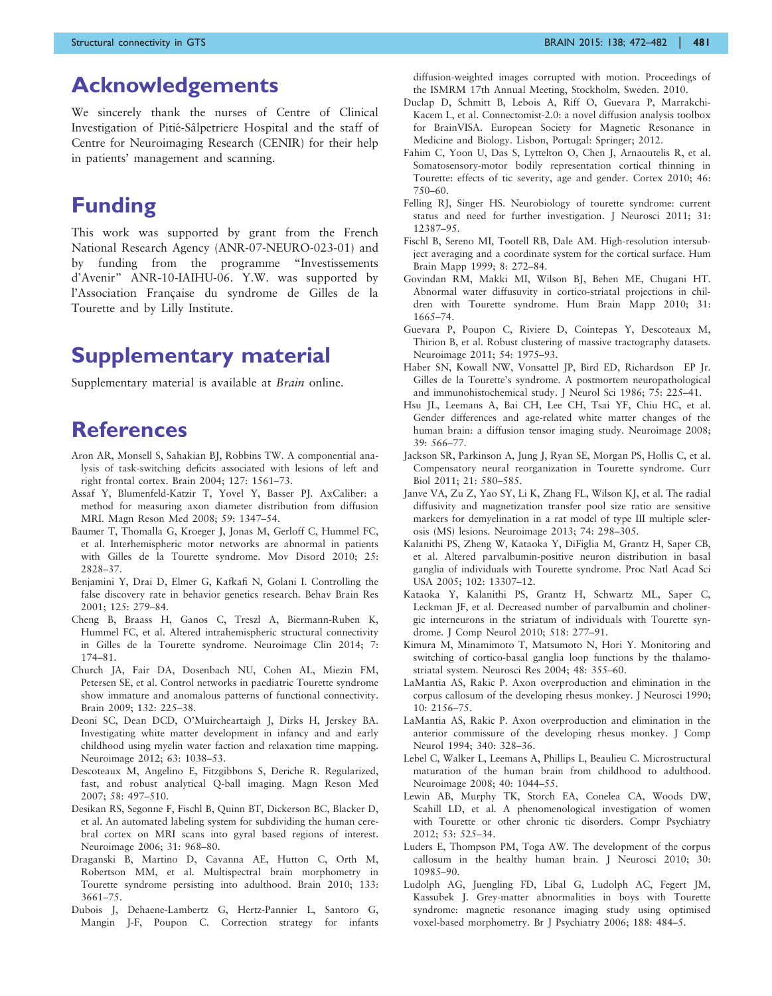# <span id="page-9-0"></span>Acknowledgements

We sincerely thank the nurses of Centre of Clinical Investigation of Pitié-Sâlpetriere Hospital and the staff of Centre for Neuroimaging Research (CENIR) for their help in patients' management and scanning.

# Funding

This work was supported by grant from the French National Research Agency (ANR-07-NEURO-023-01) and by funding from the programme "Investissements d'Avenir" ANR-10-IAIHU-06. Y.W. was supported by l'Association Française du syndrome de Gilles de la Tourette and by Lilly Institute.

# Supplementary material

[Supplementary material](http://brain.oxfordjournals.org/lookup/suppl/doi:10.1093/brain/awu311/-/DC1) is available at Brain online.

# **References**

- Aron AR, Monsell S, Sahakian BJ, Robbins TW. A componential analysis of task-switching deficits associated with lesions of left and right frontal cortex. Brain 2004; 127: 1561–73.
- Assaf Y, Blumenfeld-Katzir T, Yovel Y, Basser PJ. AxCaliber: a method for measuring axon diameter distribution from diffusion MRI. Magn Reson Med 2008; 59: 1347–54.
- Baumer T, Thomalla G, Kroeger J, Jonas M, Gerloff C, Hummel FC, et al. Interhemispheric motor networks are abnormal in patients with Gilles de la Tourette syndrome. Mov Disord 2010; 25: 2828–37.
- Benjamini Y, Drai D, Elmer G, Kafkafi N, Golani I. Controlling the false discovery rate in behavior genetics research. Behav Brain Res 2001; 125: 279–84.
- Cheng B, Braass H, Ganos C, Treszl A, Biermann-Ruben K, Hummel FC, et al. Altered intrahemispheric structural connectivity in Gilles de la Tourette syndrome. Neuroimage Clin 2014; 7: 174–81.
- Church JA, Fair DA, Dosenbach NU, Cohen AL, Miezin FM, Petersen SE, et al. Control networks in paediatric Tourette syndrome show immature and anomalous patterns of functional connectivity. Brain 2009; 132: 225–38.
- Deoni SC, Dean DCD, O'Muircheartaigh J, Dirks H, Jerskey BA. Investigating white matter development in infancy and and early childhood using myelin water faction and relaxation time mapping. Neuroimage 2012; 63: 1038–53.
- Descoteaux M, Angelino E, Fitzgibbons S, Deriche R. Regularized, fast, and robust analytical Q-ball imaging. Magn Reson Med 2007; 58: 497–510.
- Desikan RS, Segonne F, Fischl B, Quinn BT, Dickerson BC, Blacker D, et al. An automated labeling system for subdividing the human cerebral cortex on MRI scans into gyral based regions of interest. Neuroimage 2006; 31: 968–80.
- Draganski B, Martino D, Cavanna AE, Hutton C, Orth M, Robertson MM, et al. Multispectral brain morphometry in Tourette syndrome persisting into adulthood. Brain 2010; 133: 3661–75.
- Dubois J, Dehaene-Lambertz G, Hertz-Pannier L, Santoro G, Mangin J-F, Poupon C. Correction strategy for infants

diffusion-weighted images corrupted with motion. Proceedings of the ISMRM 17th Annual Meeting, Stockholm, Sweden. 2010.

- Duclap D, Schmitt B, Lebois A, Riff O, Guevara P, Marrakchi-Kacem L, et al. Connectomist-2.0: a novel diffusion analysis toolbox for BrainVISA. European Society for Magnetic Resonance in Medicine and Biology. Lisbon, Portugal: Springer; 2012.
- Fahim C, Yoon U, Das S, Lyttelton O, Chen J, Arnaoutelis R, et al. Somatosensory-motor bodily representation cortical thinning in Tourette: effects of tic severity, age and gender. Cortex 2010; 46: 750–60.
- Felling RJ, Singer HS. Neurobiology of tourette syndrome: current status and need for further investigation. J Neurosci 2011; 31: 12387–95.
- Fischl B, Sereno MI, Tootell RB, Dale AM. High-resolution intersubject averaging and a coordinate system for the cortical surface. Hum Brain Mapp 1999; 8: 272–84.
- Govindan RM, Makki MI, Wilson BJ, Behen ME, Chugani HT. Abnormal water diffusuvity in cortico-striatal projections in children with Tourette syndrome. Hum Brain Mapp 2010; 31: 1665–74.
- Guevara P, Poupon C, Riviere D, Cointepas Y, Descoteaux M, Thirion B, et al. Robust clustering of massive tractography datasets. Neuroimage 2011; 54: 1975–93.
- Haber SN, Kowall NW, Vonsattel JP, Bird ED, Richardson EP Jr. Gilles de la Tourette's syndrome. A postmortem neuropathological and immunohistochemical study. J Neurol Sci 1986; 75: 225–41.
- Hsu JL, Leemans A, Bai CH, Lee CH, Tsai YF, Chiu HC, et al. Gender differences and age-related white matter changes of the human brain: a diffusion tensor imaging study. Neuroimage 2008; 39: 566–77.
- Jackson SR, Parkinson A, Jung J, Ryan SE, Morgan PS, Hollis C, et al. Compensatory neural reorganization in Tourette syndrome. Curr Biol 2011; 21: 580–585.
- Janve VA, Zu Z, Yao SY, Li K, Zhang FL, Wilson KJ, et al. The radial diffusivity and magnetization transfer pool size ratio are sensitive markers for demyelination in a rat model of type III multiple sclerosis (MS) lesions. Neuroimage 2013; 74: 298–305.
- Kalanithi PS, Zheng W, Kataoka Y, DiFiglia M, Grantz H, Saper CB, et al. Altered parvalbumin-positive neuron distribution in basal ganglia of individuals with Tourette syndrome. Proc Natl Acad Sci USA 2005; 102: 13307–12.
- Kataoka Y, Kalanithi PS, Grantz H, Schwartz ML, Saper C, Leckman JF, et al. Decreased number of parvalbumin and cholinergic interneurons in the striatum of individuals with Tourette syndrome. J Comp Neurol 2010; 518: 277–91.
- Kimura M, Minamimoto T, Matsumoto N, Hori Y. Monitoring and switching of cortico-basal ganglia loop functions by the thalamostriatal system. Neurosci Res 2004; 48: 355–60.
- LaMantia AS, Rakic P. Axon overproduction and elimination in the corpus callosum of the developing rhesus monkey. J Neurosci 1990; 10: 2156–75.
- LaMantia AS, Rakic P. Axon overproduction and elimination in the anterior commissure of the developing rhesus monkey. J Comp Neurol 1994; 340: 328–36.
- Lebel C, Walker L, Leemans A, Phillips L, Beaulieu C. Microstructural maturation of the human brain from childhood to adulthood. Neuroimage 2008; 40: 1044–55.
- Lewin AB, Murphy TK, Storch EA, Conelea CA, Woods DW, Scahill LD, et al. A phenomenological investigation of women with Tourette or other chronic tic disorders. Compr Psychiatry 2012; 53: 525–34.
- Luders E, Thompson PM, Toga AW. The development of the corpus callosum in the healthy human brain. J Neurosci 2010; 30: 10985–90.
- Ludolph AG, Juengling FD, Libal G, Ludolph AC, Fegert JM, Kassubek J. Grey-matter abnormalities in boys with Tourette syndrome: magnetic resonance imaging study using optimised voxel-based morphometry. Br J Psychiatry 2006; 188: 484–5.